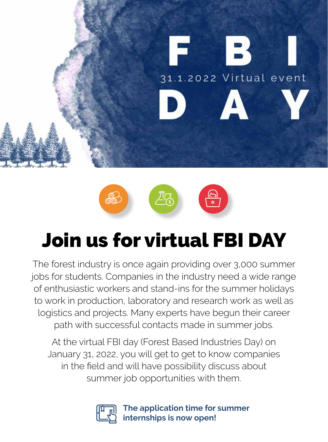



# Join us for virtual FBI DAY

The forest industry is once again providing over 3,000 summer jobs for students. Companies in the industry need a wide range of enthusiastic workers and stand-ins for the summer holidays to work in production, laboratory and research work as well as logistics and projects. Many experts have begun their career path with successful contacts made in summer jobs.

At the virtual FBI day (Forest Based Industries Day) on January 31, 2022, you will get to get to know companies in the field and will have possibility discuss about summer job opportunities with them.



**The application time for summer internships is now open!**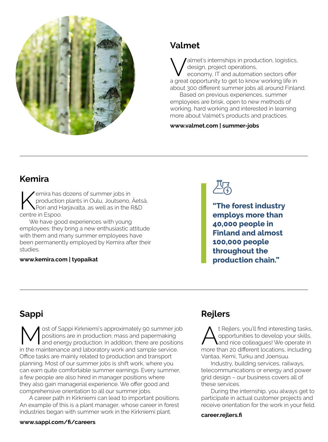

## **Valmet**

'almet's internships in production, logistics, design, project operations, economy, IT and automation sectors offer

a great opportunity to get to know working life in about 300 different summer jobs all around Finland.

Based on previous experiences, summer employees are brisk, open to new methods of working, hard working and interested in learning more about Valmet's products and practices.

#### **[www.valmet.com | summer-jobs](https://www.valmet.com/fi/campaign/kesatyot-etusivu/summer-jobs/)**

## **Kemira**

Kemira has dozens of summer jobs in<br>production plants in Oulu, Joutseno,<br>portro in Ecpoc production plants in Oulu, Joutseno, Äetsä, Pori and Harjavalta, as well as in the R&D centre in Espoo.

We have good experiences with young employees: they bring a new enthusiastic attitude with them and many summer employees have been permanently employed by Kemira after their studies.

#### **[www.kemira.com | tyopaikat](http://www.kemira.com/fi/konserni/tyopaikat/)**

**"The forest industry employs more than 40,000 people in Finland and almost 100,000 people throughout the production chain."**

# **Sappi**

Most of Sappi Kirkniemi's approximately 90 summer job<br>
and energy production. In addition, there are positions<br>
in the maintenance and laborator week and cample consise positions are in production; mass and papermaking in the maintenance and laboratory work and sample service. Office tasks are mainly related to production and transport planning. Most of our summer jobs is shift work, where you can earn quite comfortable summer earnings. Every summer, a few people are also hired in manager positions where they also gain managerial experience. We offer good and comprehensive orientation to all our summer jobs.

A career path in Kirkniemi can lead to important positions. An example of this is a plant manager, whose career in forest industries began with summer work in the Kirkniemi plant.

#### **[www.sappi.com/fi/careers](https://www.sappi.com/fi/careers)**

## **Rejlers**

t Rejlers, you'll find interesting tasks, opportunities to develop your skills, and nice colleagues! We operate in more than 20 different locations, including Vantaa, Kemi, Turku and Joensuu.

Industry, building services, railways, telecommunications or energy and power grid design – our business covers all of these services.

During the internship, you always get to participate in actual customer projects and receive orientation for the work in your field.

**[career.rejlers.fi](https://career.rejlers.fi/)**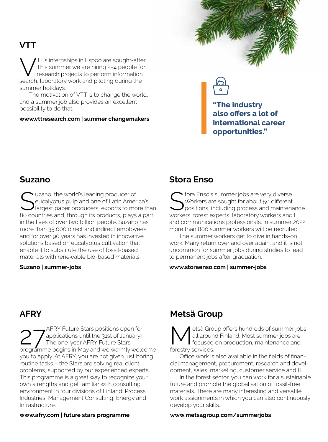## **VTT**

TT's internships in Espoo are sought-after. This summer we are hiring 2–4 people for research projects to perform information search, laboratory work and piloting during the summer holidays.

The motivation of VTT is to change the world, and a summer job also provides an excellent possibility to do that.

#### **[www.vttresearch.com | summer changemakers](https://www.vttresearch.com/en/summer-changemakers)**





**"The industry also offers a lot of international career opportunities."**

### **Suzano**

Suzano, the world's leading producer of<br>
Sucalyptus pulp and one of Latin America's<br>
Sucal producers, exports to more than eucalyptus pulp and one of Latin America's 80 countries and, through its products, plays a part in the lives of over two billion people. Suzano has more than 35,000 direct and indirect employees and for over 90 years has invested in innovative solutions based on eucalyptus cultivation that enable it to substitute the use of fossil-based materials with renewable bio-based materials.

#### **[Suzano | summer-jobs](https://jobs.kenoby.com/suzanointernational)**

## **Stora Enso**

Stora Enso's summer jobs are very diverse.<br>Storkers are sought for about 50 different<br>positions, including process and maintena Workers are sought for about 50 different positions, including process and maintenance workers, forest experts, laboratory workers and IT and communications professionals. In summer 2022, more than 800 summer workers will be recruited.

The summer workers get to dive in hands-on work. Many return over and over again, and it is not uncommon for summer jobs during studies to lead to permanent jobs after graduation.

#### **[www.storaenso.com | summer-jobs](https://www.storaenso.com/en/careers/summer-jobs)**

## **AFRY**

27 AFRY Future Stars positions open for<br>
The one-year AFRY Future Stars<br>
The one-year AFRY Future Stars applications until the 31st of January! The one-year AFRY Future Stars programme begins in May and we warmly welcome you to apply. At AFRY, you are not given just boring routine tasks – the Stars are solving real client problems, supported by our experienced experts. This programme is a great way to recognize your own strengths and get familiar with consulting environment in four divisions of Finland: Process Industries, Management Consulting, Energy and Infrastructure.

## **Metsä Group**

etsä Group offers hundreds of summer jobs all around Finland. Most summer jobs are focused on production, maintenance and forestry services.

Office work is also available in the fields of financial management, procurement, research and development, sales, marketing, customer service and IT.

In the forest sector, you can work for a sustainable future and promote the globalisation of fossil-free materials. There are many interesting and versatile work assignments in which you can also continuously develop your skills.

#### **[www.metsagroup.com/summerjobs](http://www.metsagroup.com/summerjobs)**

#### **[www.afry.com | future stars programme](https://afry.com/fi-fi/afry-future-stars-programme-in-finland)**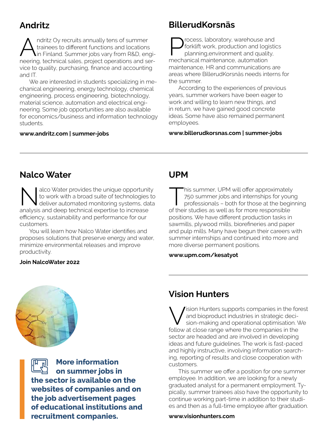## **Andritz**

ndritz Oy recruits annually tens of summer trainees to different functions and locations in Finland. Summer jobs vary from R&D, engineering, technical sales, project operations and service to quality, purchasing, finance and accounting and IT.

We are interested in students specializing in mechanical engineering, energy technology, chemical engineering, process engineering, biotechnology, material science, automation and electrical engineering. Some job opportunities are also available for economics/business and information technology students.

#### **[www.andritz.com | summer-jobs](https://www.andritz.com/pulp-and-paper-en/locations/andritz-oy/andritz-finland-employer-branding/andritz-finland-summer-jobs)**

## **BillerudKorsnäs**

**Process, laboratory, warehouse and<br>forklift work, production and logistive planning, environment and quality,<br>mochanical maintenance, automation** forklift work, production and logistics planning,environment and quality, mechanical maintenance, automation maintenance, HR and communications are areas where BillerudKorsnäs needs interns for the summer.

According to the experiences of previous years, summer workers have been eager to work and willing to learn new things, and in return, we have gained good concrete ideas. Some have also remained permanent employees.

#### **[www.billerudkorsnas.com | summer-jobs](http://www.billerudkorsnas.com/career/work-with-us/summer-jobs/summer-jobs)**

## **Nalco Water**

Nalco Water provides the unique opportunity<br>to work with a broad suite of technologies to<br>deliver automated monitoring systems, data to work with a broad suite of technologies to deliver automated monitoring systems, data analysis and deep technical expertise to increase efficiency, sustainability and performance for our customers.

You will learn how Nalco Water identifies and proposes solutions that preserve energy and water, minimize environmental releases and improve productivity.

#### **[Join NalcoWater 2022](https://jobs.ecolab.com/campaign/join-nalco-water-an-ecolab-company-today/)**

## **UPM**

This summer, UPM will offer approximately<br>750 summer jobs and internships for youn<br>professionals - both for those at the begin<br>of their studies as well as for more responsible 750 summer jobs and internships for young professionals – both for those at the beginning of their studies as well as for more responsible positions. We have different production tasks in sawmills, plywood mills, biorefineries and paper and pulp mills. Many have begun their careers with summer internships and continued into more and more diverse permanent positions.

#### **[www.upm.com/kesatyot](https://www.upm.com/kesatyot/)**



**More information on summer jobs in the sector is available on the websites of companies and on the job advertisement pages of educational institutions and recruitment companies.**

## **Vision Hunters**

Vision Hunters supports companies in the forest<br>
and bioproduct industries in strategic deci-<br>
sion-making and operational optimisation. We<br>
follow at close range where the companies in the and bioproduct industries in strategic decifollow at close range where the companies in the sector are headed and are involved in developing ideas and future guidelines. The work is fast-paced and highly instructive, involving information searching, reporting of results and close cooperation with customers.

This summer we offer a position for one summer employee. In addition, we are looking for a newly graduated analyst for a permanent employment. Typically, summer trainees also have the opportunity to continue working part-time in addition to their studies and then as a full-time employee after graduation.

**[www.visionhunters.com](http://www.visionhunters.com)**